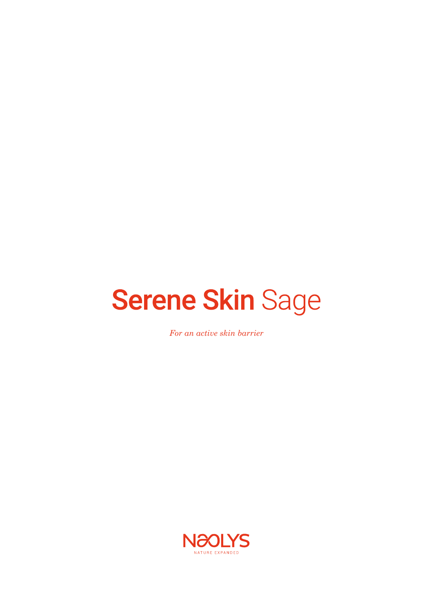# **Serene Skin Sage**

*For an active skin barrier*

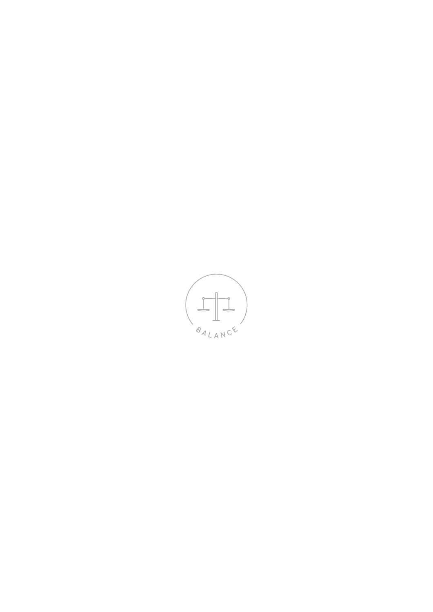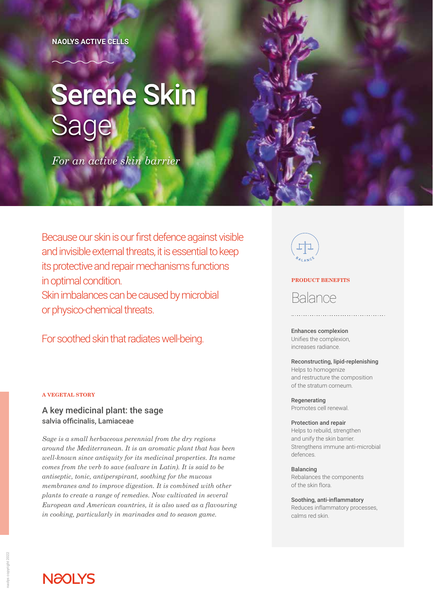**NAOLYS ACTIVE CELLS**

# **Serene Skin** Sage

*For an active skin barrier*

Because our skin is our first defence against visible and invisible external threats, it is essential to keep its protective and repair mechanisms functions in optimal condition. Skin imbalances can be caused by microbial or physico-chemical threats.

For soothed skin that radiates well-being.

### **A VEGETAL STORY**

### A key medicinal plant: the sage salvia officinalis, Lamiaceae

*Sage is a small herbaceous perennial from the dry regions around the Mediterranean. It is an aromatic plant that has been well-known since antiquity for its medicinal properties. Its name comes from the verb to save (salvare in Latin). It is said to be antiseptic, tonic, antiperspirant, soothing for the mucous membranes and to improve digestion. It is combined with other plants to create a range of remedies. Now cultivated in several European and American countries, it is also used as a flavouring in cooking, particularly in marinades and to season game.* 



### **PRODUCT BENEFITS**

# Balance

Enhances complexion Unifies the complexion, increases radiance.

### Reconstructing, lipid-replenishing Helps to homogenize

and restructure the composition of the stratum corneum.

Regenerating Promotes cell renewal.

### Protection and repair

Helps to rebuild, strengthen and unify the skin barrier. Strengthens immune anti-microbial defences.

Balancing Rebalances the components of the skin flora.

Soothing, anti-inflammatory Reduces inflammatory processes, calms red skin.

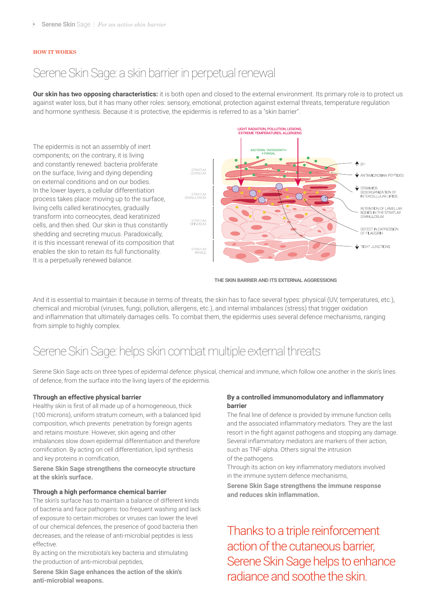### **HOW IT WORKS**

### Serene Skin Sage: a skin barrier in perpetual renewal

**Our skin has two opposing characteristics:** it is both open and closed to the external environment. Its primary role is to protect us against water loss, but it has many other roles: sensory, emotional, protection against external threats, temperature regulation and hormone synthesis. Because it is protective, the epidermis is referred to as a "skin barrier".



THE SKIN BARRIER AND ITS EXTERNAL AGGRESSIONS

And it is essential to maintain it because in terms of threats, the skin has to face several types: physical (UV, temperatures, etc.), chemical and microbial (viruses, fungi, pollution, allergens, etc.), and internal imbalances (stress) that trigger oxidation and inflammation that ultimately damages cells. To combat them, the epidermis uses several defence mechanisms, ranging from simple to highly complex.

## Serene Skin Sage: helps skin combat multiple external threats

Serene Skin Sage acts on three types of epidermal defence: physical, chemical and immune, which follow one another in the skin's lines of defence, from the surface into the living layers of the epidermis.

### **Through an effective physical barrier**

Healthy skin is first of all made up of a homogeneous, thick (100 microns), uniform stratum corneum, with a balanced lipid composition, which prevents penetration by foreign agents and retains moisture. However, skin ageing and other imbalances slow down epidermal differentiation and therefore cornification. By acting on cell differentiation, lipid synthesis and key proteins in cornification,

**Serene Skin Sage strengthens the corneocyte structure at the skin's surface.**

### **Through a high performance chemical barrier**

The skin's surface has to maintain a balance of different kinds of bacteria and face pathogens: too frequent washing and lack of exposure to certain microbes or viruses can lower the level of our chemical defences, the presence of good bacteria then decreases, and the release of anti-microbial peptides is less effective.

By acting on the microbiota's key bacteria and stimulating the production of anti-microbial peptides,

**Serene Skin Sage enhances the action of the skin's anti-microbial weapons.**

### **By a controlled immunomodulatory and inflammatory barrier**

The final line of defence is provided by immune function cells and the associated inflammatory mediators. They are the last resort in the fight against pathogens and stopping any damage. Several inflammatory mediators are markers of their action, such as TNF-alpha. Others signal the intrusion of the pathogens.

Through its action on key inflammatory mediators involved in the immune system defence mechanisms,

**Serene Skin Sage strengthens the immune response and reduces skin inflammation.**

Thanks to a triple reinforcement action of the cutaneous barrier, Serene Skin Sage helps to enhance radiance and soothe the skin.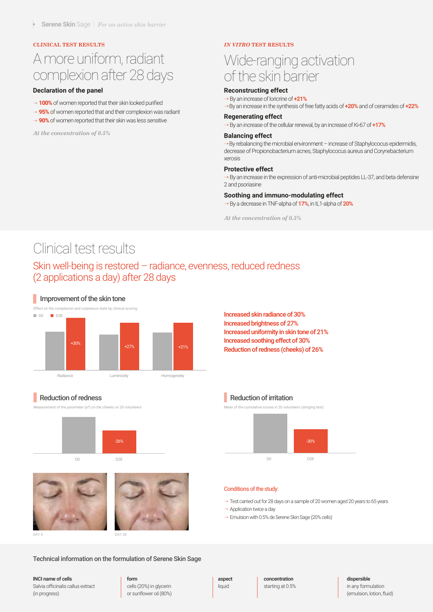### **CLINICAL TEST RESULTS** *IN VITRO* **TEST RESULTS**

# A more uniform, radiant complexion after 28 days

### **Declaration of the panel**

- → **100%** of women reported that their skin looked purified
- → 95% of women reported that and their complexion was radiant
- → 90% of women reported that their skin was less sensitive

*At the concentration of 0.5%*

# Wide-ranging activation of the skin barrier

### **Reconstructing effect**

→ By an increase of loricrine of **+21%**

→By an increase in the synthesis of free fatty acids of **+20%** and of ceramides of **+22%**

### **Regenerating effect**

→ By an increase of the cellular renewal, by an increase of Ki-67 of **+17%**

### **Balancing effect**

→By rebalancing the microbial environment – increase of Staphylococus epidermidis, decrease of Propionobacterium acnes, Staphylococus aureus and Corynebacterium xerosis

### **Protective effect**

 $\rightarrow$  By an increase in the expression of anti-microbial peptides LL-37, and beta defensine 2 and psoriasine

### **Soothing and immuno-modulating effect**

→ By a decrease in TNF-alpha of **17%**, in IL1-alpha of **20%**

*At the concentration of 0.5%*

## Clinical test results

### Skin well-being is restored – radiance, evenness, reduced redness (2 applications a day) after 28 days

### **Improvement of the skin tone**



Increased skin radiance of 30% Increased brightness of 27% Increased uniformity in skin tone of 21% Increased soothing effect of 30% Reduction of redness (cheeks) of 26%

### Reduction of redness

ant of the parameter (a\*) on the cheeks on 20 volunteers







DAY 0 DAY 28

Mean of the cumulative scores in 20 volunteers (stinging test)

**Reduction of irritation** 



#### Conditions of the study:

 $\rightarrow$  Test carried out for 28 days on a sample of 20 women aged 20 years to 65 years

→ Application twice a day

→ Emulsion with 0.5% de Serene Skin Sage (20% cells)

### Technical information on the formulation of Serene Skin Sage

### INCI name of cells

Salvia officinalis callus extract (in progress)

### form

cells (20%) in glycerin or sunflower oil (80%) aspect liquid

concentration starting at 0.5%

### dispersible

in any formulation (emulsion, lotion, fluid)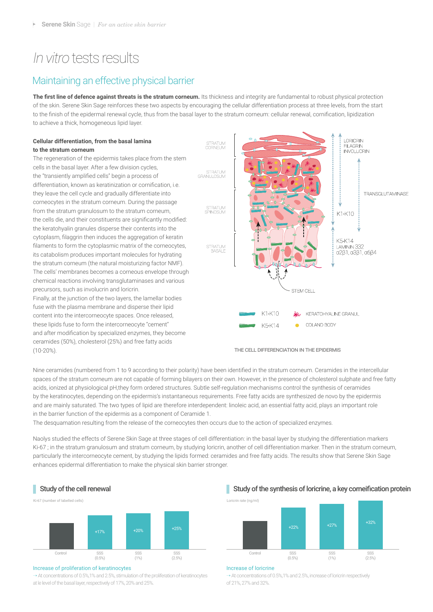# *In vitro* tests results

### Maintaining an effective physical barrier

**The first line of defence against threats is the stratum corneum.** Its thickness and integrity are fundamental to robust physical protection of the skin. Serene Skin Sage reinforces these two aspects by encouraging the cellular differentiation process at three levels, from the start to the finish of the epidermal renewal cycle, thus from the basal layer to the stratum corneum: cellular renewal, cornification, lipidization to achieve a thick, homogeneous lipid layer.

### **Cellular differentiation, from the basal lamina to the stratum corneum**

The regeneration of the epidermis takes place from the stem cells in the basal layer. After a few division cycles, the "transiently amplified cells" begin a process of differentiation, known as keratinization or cornification, i.e. they leave the cell cycle and gradually differentiate into corneocytes in the stratum corneum. During the passage from the stratum granulosum to the stratum corneum, the cells die, and their constituents are significantly modified: the keratohyalin granules disperse their contents into the cytoplasm, filaggrin then induces the aggregation of keratin filaments to form the cytoplasmic matrix of the corneocytes, its catabolism produces important molecules for hydrating the stratum corneum (the natural moisturizing factor NMF). The cells' membranes becomes a corneous envelope through chemical reactions involving transglutaminases and various precursors, such as involucrin and loricrin.

Finally, at the junction of the two layers, the lamellar bodies fuse with the plasma membrane and disperse their lipid content into the intercorneocyte spaces. Once released, these lipids fuse to form the intercorneocyte "cement" and after modification by specialized enzymes, they become ceramides (50%), cholesterol (25%) and free fatty acids (10-20%).



THE CELL DIFFERENCIATION IN THE EPIDERMIS

Nine ceramides (numbered from 1 to 9 according to their polarity) have been identified in the stratum corneum. Ceramides in the intercellular spaces of the stratum corneum are not capable of forming bilayers on their own. However, in the presence of cholesterol sulphate and free fatty acids, ionized at physiological pH,they form ordered structures. Subtle self-regulation mechanisms control the synthesis of ceramides by the keratinocytes, depending on the epidermis's instantaneous requirements. Free fatty acids are synthesized de novo by the epidermis and are mainly saturated. The two types of lipid are therefore interdependent: linoleic acid, an essential fatty acid, plays an important role in the barrier function of the epidermis as a component of Ceramide 1.

The desquamation resulting from the release of the corneocytes then occurs due to the action of specialized enzymes.

Naolys studied the effects of Serene Skin Sage at three stages of cell differentiation: in the basal layer by studying the differentiation markers Ki-67 ; in the stratum granulosum and stratum corneum, by studying loricrin, another of cell differentiation marker. Then in the stratum corneum, particularly the intercorneocyte cement, by studying the lipids formed: ceramides and free fatty acids. The results show that Serene Skin Sage enhances epidermal differentiation to make the physical skin barrier stronger.



### Increase of proliferation of keratinocytes

 $\rightarrow$  At concentrations of 0.5%,1% and 2.5%, stimulation of the proliferation of keratinocytes at le level of the basal layer, respectively of 17%, 20% and 25%.

### Study of the cell renewal Study of the synthesis of loricrine, a key corneification protein



### Increase of loricrine

 $\rightarrow$  At concentrations of 0.5%,1% and 2.5%, increase of loricrin respectively of 21%, 27% and 32%.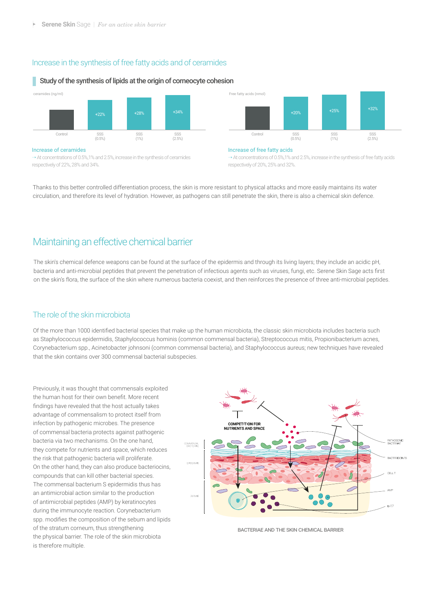### Increase in the synthesis of free fatty acids and of ceramides

#### ł, Study of the synthesis of lipids at the origin of corneocyte cohesion



respectively of 22%, 28% and 34%.

respectively of 20%, 25% and 32%.

Thanks to this better controlled differentiation process, the skin is more resistant to physical attacks and more easily maintains its water circulation, and therefore its level of hydration. However, as pathogens can still penetrate the skin, there is also a chemical skin defence.

### Maintaining an effective chemical barrier

The skin's chemical defence weapons can be found at the surface of the epidermis and through its living layers; they include an acidic pH, bacteria and anti-microbial peptides that prevent the penetration of infectious agents such as viruses, fungi, etc. Serene Skin Sage acts first on the skin's flora, the surface of the skin where numerous bacteria coexist, and then reinforces the presence of three anti-microbial peptides.

### The role of the skin microbiota

Of the more than 1000 identified bacterial species that make up the human microbiota, the classic skin microbiota includes bacteria such as Staphylococcus epidermidis, Staphylococcus hominis (common commensal bacteria), Streptococcus mitis, Propionibacterium acnes, Corynebacterium spp., Acinetobacter johnsoni (common commensal bacteria), and Staphylococcus aureus; new techniques have revealed that the skin contains over 300 commensal bacterial subspecies.

Previously, it was thought that commensals exploited the human host for their own benefit. More recent findings have revealed that the host actually takes advantage of commensalism to protect itself from infection by pathogenic microbes. The presence of commensal bacteria protects against pathogenic bacteria via two mechanisms. On the one hand, they compete for nutrients and space, which reduces the risk that pathogenic bacteria will proliferate. On the other hand, they can also produce bacteriocins, compounds that can kill other bacterial species. The commensal bacterium S epidermidis thus has an antimicrobial action similar to the production of antimicrobial peptides (AMP) by keratinocytes during the immunocyte reaction. Corynebacterium spp. modifies the composition of the sebum and lipids of the stratum corneum, thus strengthening the physical barrier. The role of the skin microbiota is therefore multiple.



BACTERIAE AND THE SKIN CHEMICAL BARRIER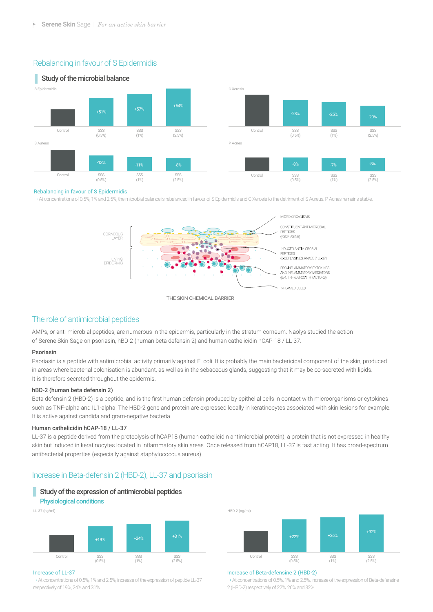### Rebalancing in favour of S Epidermidis



#### Rebalancing in favour of S Epidermidis

→ At concentrations of 0.5%, 1% and 2.5%, the microbial balance is rebalanced in favour of S Epidermidis and C Xerosis to the detriment of S Aureus. P Acnes remains stable.



### The role of antimicrobial peptides

AMPs, or anti-microbial peptides, are numerous in the epidermis, particularly in the stratum corneum. Naolys studied the action of Serene Skin Sage on psoriasin, hBD-2 (human beta defensin 2) and human cathelicidin hCAP-18 / LL-37.

### Psoriasin

Psoriasin is a peptide with antimicrobial activity primarily against E. coli. It is probably the main bactericidal component of the skin, produced in areas where bacterial colonisation is abundant, as well as in the sebaceous glands, suggesting that it may be co-secreted with lipids. It is therefore secreted throughout the epidermis.

### hBD-2 (human beta defensin 2)

Beta defensin 2 (HBD-2) is a peptide, and is the first human defensin produced by epithelial cells in contact with microorganisms or cytokines such as TNF-alpha and IL1-alpha. The HBD-2 gene and protein are expressed locally in keratinocytes associated with skin lesions for example. It is active against candida and gram-negative bacteria.

### Human cathelicidin hCAP-18 / LL-37

LL-37 is a peptide derived from the proteolysis of hCAP18 (human cathelicidin antimicrobial protein), a protein that is not expressed in healthy skin but induced in keratinocytes located in inflammatory skin areas. Once released from hCAP18, LL-37 is fast acting. It has broad-spectrum antibacterial properties (especially against staphylococcus aureus).

### Increase in Beta-defensin 2 (HBD-2), LL-37 and psoriasin

### Study of the expression of antimicrobial peptides

### Physiological conditions

LL-37 (ng/ml) SSS (1%) SSS (2.5%) SSS (0.5%) Control +19% +24% +31%



 $\rightarrow$  At concentrations of 0.5%, 1% and 2.5%, increase of the expression of peptide LL-37 respectively of 19%, 24% and 31%.



#### Increase of Beta-defensine 2 (HBD-2)

 $\rightarrow$  At concentrations of 0.5%, 1% and 2.5%, increase of the expression of Beta-defensine 2 (HBD-2) respectively of 22%, 26% and 32%.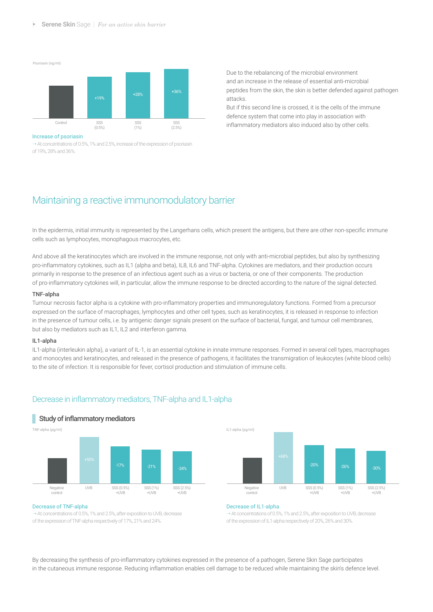Psoriasin (ng/ml) SSS (1%) SSS (2.5%) SSS (0.5%) Control +19% +28% +36%

#### Increase of psoriasin

 $\rightarrow$  At concentrations of 0.5%, 1% and 2.5%, increase of the expression of psoriasin of 19%, 28% and 36%.

Due to the rebalancing of the microbial environment and an increase in the release of essential anti-microbial peptides from the skin, the skin is better defended against pathogen attacks.

But if this second line is crossed, it is the cells of the immune defence system that come into play in association with inflammatory mediators also induced also by other cells.

### Maintaining a reactive immunomodulatory barrier

In the epidermis, initial immunity is represented by the Langerhans cells, which present the antigens, but there are other non-specific immune cells such as lymphocytes, monophagous macrocytes, etc.

And above all the keratinocytes which are involved in the immune response, not only with anti-microbial peptides, but also by synthesizing pro-inflammatory cytokines, such as IL1 (alpha and beta), IL8, IL6 and TNF-alpha. Cytokines are mediators, and their production occurs primarily in response to the presence of an infectious agent such as a virus or bacteria, or one of their components. The production of pro-inflammatory cytokines will, in particular, allow the immune response to be directed according to the nature of the signal detected.

### TNF-alpha

Tumour necrosis factor alpha is a cytokine with pro-inflammatory properties and immunoregulatory functions. Formed from a precursor expressed on the surface of macrophages, lymphocytes and other cell types, such as keratinocytes, it is released in response to infection in the presence of tumour cells, i.e. by antigenic danger signals present on the surface of bacterial, fungal, and tumour cell membranes, but also by mediators such as IL1, IL2 and interferon gamma.

### IL1-alpha

IL1-alpha (interleukin alpha), a variant of IL-1, is an essential cytokine in innate immune responses. Formed in several cell types, macrophages and monocytes and keratinocytes, and released in the presence of pathogens, it facilitates the transmigration of leukocytes (white blood cells) to the site of infection. It is responsible for fever, cortisol production and stimulation of immune cells.

### Decrease in inflammatory mediators, TNF-alpha and IL1-alpha



### Study of inflammatory mediators

#### Decrease of TNF-alpha

→ At concentrations of 0.5%, 1% and 2.5%, after exposition to UVB, decrease of the expression of TNF-alpha respectively of 17%, 21% and 24%.



### Decrease of IL1-alpha

→ At concentrations of 0.5%, 1% and 2.5%, after exposition to UVB, decrease of the expression of IL1-alpha respectively of 20%, 26% and 30%.

By decreasing the synthesis of pro-inflammatory cytokines expressed in the presence of a pathogen, Serene Skin Sage participates in the cutaneous immune response. Reducing inflammation enables cell damage to be reduced while maintaining the skin's defence level.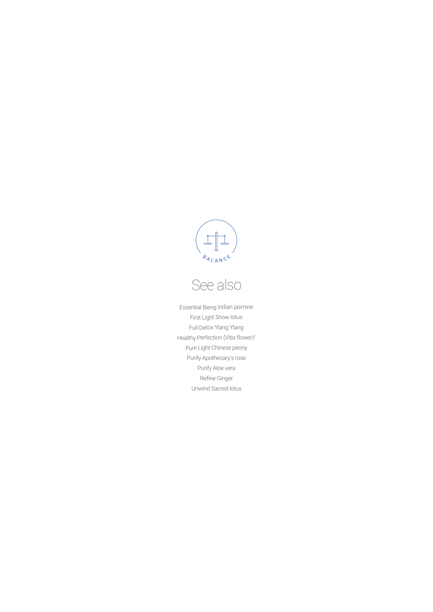

# See also

Essential Bieng Indian jasmine First Light Snow lotus Full Detox Ylang Ylang Healthy Perfection (Vitis flower)<sup>2</sup> Pure Light Chinese peony Purify Apothecary's rose Purify Aloe vera Refine Ginger Unwind Sacred lotus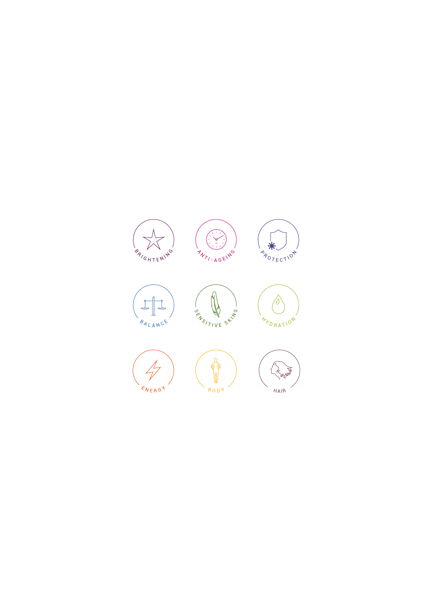